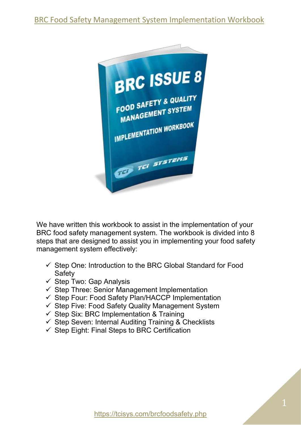

We have written this workbook to assist in the implementation of your BRC food safety management system. The workbook is divided into 8 steps that are designed to assist you in implementing your food safety management system effectively:

- $\checkmark$  Step One: Introduction to the BRC Global Standard for Food **Safety**
- $\checkmark$  Step Two: Gap Analysis
- ✓ Step Three: Senior Management Implementation
- ✓ Step Four: Food Safety Plan/HACCP Implementation
- $\checkmark$  Step Five: Food Safety Quality Management System
- $\checkmark$  Step Six: BRC Implementation & Training
- ✓ Step Seven: Internal Auditing Training & Checklists
- $\checkmark$  Step Eight: Final Steps to BRC Certification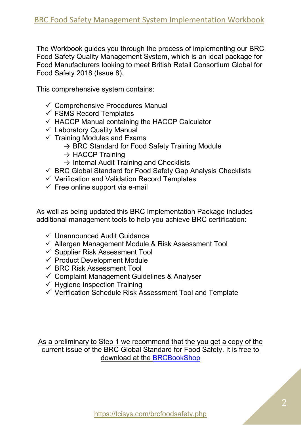The Workbook guides you through the process of implementing our BRC Food Safety Quality Management System, which is an ideal package for Food Manufacturers looking to meet British Retail Consortium Global for Food Safety 2018 (Issue 8).

This comprehensive system contains:

- $\checkmark$  Comprehensive Procedures Manual
- $\checkmark$  FSMS Record Templates
- $\checkmark$  HACCP Manual containing the HACCP Calculator
- $\checkmark$  Laboratory Quality Manual
- $\checkmark$  Training Modules and Exams
	- $\rightarrow$  BRC Standard for Food Safety Training Module
	- $\rightarrow$  HACCP Training
	- $\rightarrow$  Internal Audit Training and Checklists
- $\checkmark$  BRC Global Standard for Food Safety Gap Analysis Checklists
- ✓ Verification and Validation Record Templates
- $\checkmark$  Free online support via e-mail

As well as being updated this BRC Implementation Package includes additional management tools to help you achieve BRC certification:

- ✓ Unannounced Audit Guidance
- ✓ Allergen Management Module & Risk Assessment Tool
- ✓ Supplier Risk Assessment Tool
- $\checkmark$  Product Development Module
- ✓ BRC Risk Assessment Tool
- ✓ Complaint Management Guidelines & Analyser
- $\checkmark$  Hygiene Inspection Training
- ✓ Verification Schedule Risk Assessment Tool and Template

As a preliminary to Step 1 we recommend that the you get a copy of the current issue of the BRC Global Standard for Food Safety. It is free to download at the **BRCBookShop**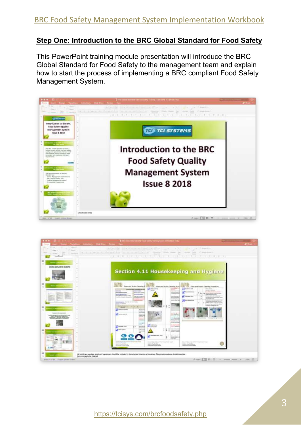#### **Step One: Introduction to the BRC Global Standard for Food Safety**

This PowerPoint training module presentation will introduce the BRC Global Standard for Food Safety to the management team and explain how to start the process of implementing a BRC compliant Food Safety Management System.



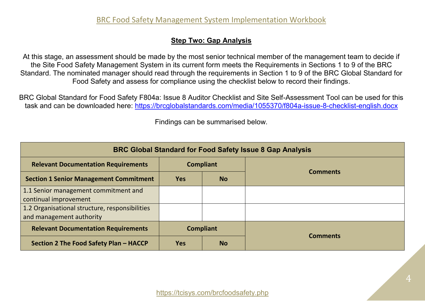#### **Step Two: Gap Analysis**

At this stage, an assessment should be made by the most senior technical member of the management team to decide if the Site Food Safety Management System in its current form meets the Requirements in Sections 1 to 9 of the BRC Standard. The nominated manager should read through the requirements in Section 1 to 9 of the BRC Global Standard for Food Safety and assess for compliance using the checklist below to record their findings.

BRC Global Standard for Food Safety F804a: Issue 8 Auditor Checklist and Site Self-Assessment Tool can be used for this task and can be downloaded here: <https://brcglobalstandards.com/media/1055370/f804a-issue-8-checklist-english.docx>

|                                                                            |                  |           | <b>BRC Global Standard for Food Safety Issue 8 Gap Analysis</b> |
|----------------------------------------------------------------------------|------------------|-----------|-----------------------------------------------------------------|
| <b>Relevant Documentation Requirements</b>                                 | <b>Compliant</b> |           |                                                                 |
| <b>Section 1 Senior Management Commitment</b>                              | <b>Yes</b>       | <b>No</b> | <b>Comments</b>                                                 |
| 1.1 Senior management commitment and<br>continual improvement              |                  |           |                                                                 |
| 1.2 Organisational structure, responsibilities<br>and management authority |                  |           |                                                                 |
| <b>Relevant Documentation Requirements</b>                                 | <b>Compliant</b> |           |                                                                 |
| Section 2 The Food Safety Plan - HACCP                                     | <b>Yes</b>       | <b>No</b> | <b>Comments</b>                                                 |

Findings can be summarised below.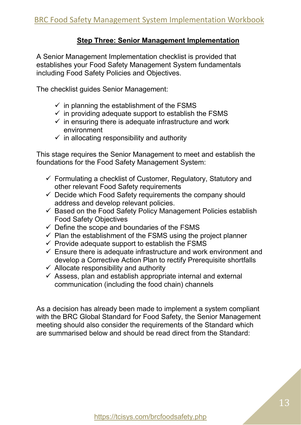#### **Step Three: Senior Management Implementation**

A Senior Management Implementation checklist is provided that establishes your Food Safety Management System fundamentals including Food Safety Policies and Objectives.

The checklist guides Senior Management:

- $\checkmark$  in planning the establishment of the FSMS
- $\checkmark$  in providing adequate support to establish the FSMS
- $\checkmark$  in ensuring there is adequate infrastructure and work environment
- $\checkmark$  in allocating responsibility and authority

This stage requires the Senior Management to meet and establish the foundations for the Food Safety Management System:

- $\checkmark$  Formulating a checklist of Customer, Regulatory, Statutory and other relevant Food Safety requirements
- $\checkmark$  Decide which Food Safety requirements the company should address and develop relevant policies.
- ✓ Based on the Food Safety Policy Management Policies establish Food Safety Objectives
- $\checkmark$  Define the scope and boundaries of the FSMS
- $\checkmark$  Plan the establishment of the FSMS using the project planner
- $\checkmark$  Provide adequate support to establish the FSMS
- $\checkmark$  Ensure there is adequate infrastructure and work environment and develop a Corrective Action Plan to rectify Prerequisite shortfalls
- $\checkmark$  Allocate responsibility and authority
- $\checkmark$  Assess, plan and establish appropriate internal and external communication (including the food chain) channels

As a decision has already been made to implement a system compliant with the BRC Global Standard for Food Safety, the Senior Management meeting should also consider the requirements of the Standard which are summarised below and should be read direct from the Standard: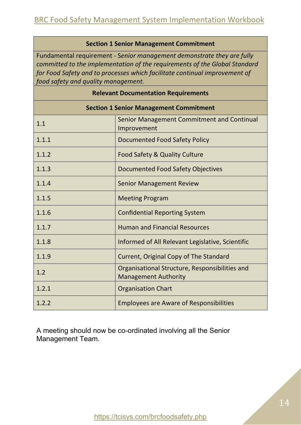#### **Section 1 Senior Management Commitment**

Fundamental requirement - S*enior management demonstrate they are fully committed to the implementation of the requirements of the Global Standard for Food Safety and to processes which facilitate continual improvement of food safety and quality management.*

|       | <b>Relevant Documentation Requirements</b>                                    |
|-------|-------------------------------------------------------------------------------|
|       | <b>Section 1 Senior Management Commitment</b>                                 |
| 1.1   | Senior Management Commitment and Continual<br>Improvement                     |
| 1.1.1 | Documented Food Safety Policy                                                 |
| 1.1.2 | Food Safety & Quality Culture                                                 |
| 1.1.3 | Documented Food Safety Objectives                                             |
| 1.1.4 | <b>Senior Management Review</b>                                               |
| 1.1.5 | <b>Meeting Program</b>                                                        |
| 1.1.6 | <b>Confidential Reporting System</b>                                          |
| 1.1.7 | <b>Human and Financial Resources</b>                                          |
| 1.1.8 | Informed of All Relevant Legislative, Scientific                              |
| 1.1.9 | Current, Original Copy of The Standard                                        |
| 1.2   | Organisational Structure, Responsibilities and<br><b>Management Authority</b> |
| 1.2.1 | <b>Organisation Chart</b>                                                     |
| 1.2.2 | <b>Employees are Aware of Responsibilities</b>                                |

A meeting should now be co-ordinated involving all the Senior Management Team.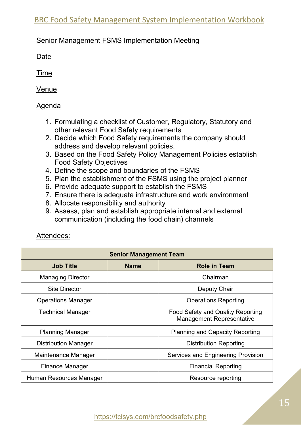#### Senior Management FSMS Implementation Meeting

Date

Time

Venue

#### Agenda

- 1. Formulating a checklist of Customer, Regulatory, Statutory and other relevant Food Safety requirements
- 2. Decide which Food Safety requirements the company should address and develop relevant policies.
- 3. Based on the Food Safety Policy Management Policies establish Food Safety Objectives
- 4. Define the scope and boundaries of the FSMS
- 5. Plan the establishment of the FSMS using the project planner
- 6. Provide adequate support to establish the FSMS
- 7. Ensure there is adequate infrastructure and work environment
- 8. Allocate responsibility and authority
- 9. Assess, plan and establish appropriate internal and external communication (including the food chain) channels

#### Attendees:

|                             | <b>Senior Management Team</b> |                                                                       |
|-----------------------------|-------------------------------|-----------------------------------------------------------------------|
| <b>Job Title</b>            | <b>Name</b>                   | <b>Role in Team</b>                                                   |
| <b>Managing Director</b>    |                               | Chairman                                                              |
| <b>Site Director</b>        |                               | Deputy Chair                                                          |
| <b>Operations Manager</b>   |                               | <b>Operations Reporting</b>                                           |
| Technical Manager           |                               | Food Safety and Quality Reporting<br><b>Management Representative</b> |
| <b>Planning Manager</b>     |                               | <b>Planning and Capacity Reporting</b>                                |
| <b>Distribution Manager</b> |                               | <b>Distribution Reporting</b>                                         |
| Maintenance Manager         |                               | Services and Engineering Provision                                    |
| <b>Finance Manager</b>      |                               | <b>Financial Reporting</b>                                            |
| Human Resources Manager     |                               | Resource reporting                                                    |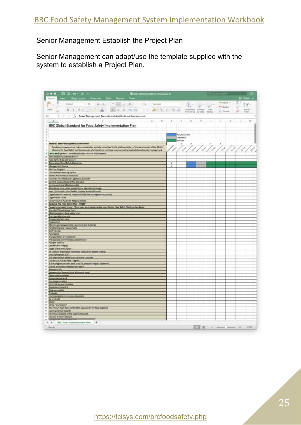#### Senior Management Establish the Project Plan

Senior Management can adapt/use the template supplied with the system to establish a Project Plan.

| $\Box \Box \bullet \circ \cdot \circ \cdot$<br><b>3</b> ERC Implementation Plan Issue &                                                                                                                                                                                                                                                            |   |                                        |                      |                             |                   |                              |               | G.                |
|----------------------------------------------------------------------------------------------------------------------------------------------------------------------------------------------------------------------------------------------------------------------------------------------------------------------------------------------------|---|----------------------------------------|----------------------|-----------------------------|-------------------|------------------------------|---------------|-------------------|
| Roge Layout Formulae Data Review View                                                                                                                                                                                                                                                                                                              |   |                                        |                      |                             |                   |                              |               | At there. A       |
| $\mathcal{N} \left[ \left. \left  \Psi_{\mathbf{1}} \right  \mathbf{r} \right  \left  \mathbf{A} \mathbf{r}, \mathbf{A} \mathbf{r} \right  \right] \right] \cong \left[ \left. \left  \Psi_{\mathbf{1}} \right  \mathbf{r} \right  \left  \mathbf{R} \mathbf{r} \right  \right] \quad \left  \mathbf{E} \mathbf{r} \right]$<br>Califort<br>Geograf |   | 31                                     | $\mathbb{R}^+$       | up-                         |                   | $-$ rast $-$                 | Σ÷            | 钾                 |
| 8 / 8 / 2 / 4 / A / E 2 2 d d - 1 3 / 1 3 / 2 3                                                                                                                                                                                                                                                                                                    |   |                                        | Contitional Ferman   |                             | Cell              | M-F Delate +<br>a : Farmat + | 国土<br>g.      | <b>Burt &amp;</b> |
|                                                                                                                                                                                                                                                                                                                                                    |   |                                        | Formatting its false |                             | <b>District</b>   |                              |               | 4 Hard            |
| $\frac{1}{v}$ $\equiv$ $\sqrt{f}$ Senior Management Commitment And Continual Improvement<br>$20 -$                                                                                                                                                                                                                                                 |   |                                        |                      |                             |                   |                              |               | M                 |
| c<br>$\boldsymbol{B}$<br>×                                                                                                                                                                                                                                                                                                                         | × | ×                                      | $\alpha$             | ×                           | ÷.                | Ŧ.                           | ×             | ×                 |
| BRC Global Standard for Food Safety Implementation Plan                                                                                                                                                                                                                                                                                            |   |                                        |                      |                             |                   |                              |               |                   |
|                                                                                                                                                                                                                                                                                                                                                    |   |                                        |                      |                             |                   |                              |               |                   |
|                                                                                                                                                                                                                                                                                                                                                    |   | <b>Tan/Desument</b><br><b>Ingleter</b> |                      |                             |                   |                              |               |                   |
| Section 1 Senior Management Commitment<br>Ť                                                                                                                                                                                                                                                                                                        |   | Malviale<br>n.                         |                      |                             | C.                |                              |               |                   |
| Fundersental regulmment - demanstrate they are fully committed to the implementation of the requirements of the Global                                                                                                                                                                                                                             |   |                                        | ۸                    |                             |                   |                              |               |                   |
| Standard for Food Sciety and to processes which facilitate continual improvement of fred safety and quality management.<br>×                                                                                                                                                                                                                       |   | $\phi^{\mathcal{J}}$                   | $\sigma^{\beta}$     | $\mathcal{S}^{\mathcal{S}}$ | $\sigma^{\sigma}$ |                              | <b>CANADA</b> | <b>AND</b>        |
| 9 Senior Management Commitment And Continual Improvement<br><b>Documented Food Safety Policy</b><br>IS.                                                                                                                                                                                                                                            |   |                                        |                      |                             |                   |                              |               |                   |
| Pood Safety & Quality Culture<br>Ħ.                                                                                                                                                                                                                                                                                                                |   |                                        |                      |                             |                   |                              |               |                   |
| 17 Occurrented Pood Safety Okiestives<br><b>Management Review</b>                                                                                                                                                                                                                                                                                  | 1 |                                        |                      |                             |                   |                              |               |                   |
| A Meeting Program                                                                                                                                                                                                                                                                                                                                  |   |                                        |                      |                             |                   |                              |               |                   |
| Confidential Reporting Sestem<br>10 Parties And Financial Resources                                                                                                                                                                                                                                                                                |   |                                        |                      |                             |                   |                              |               |                   |
| :// Informed Of All Relevant Legislative, Scientific                                                                                                                                                                                                                                                                                               |   |                                        |                      |                             |                   |                              |               |                   |
| 18 Current, Original Copy Of The Manslard                                                                                                                                                                                                                                                                                                          |   |                                        |                      |                             |                   |                              |               |                   |
| 196<br>Announced recent fication sudits<br>m<br>Attendance most renke groduction or operations monoger                                                                                                                                                                                                                                             |   |                                        |                      |                             |                   |                              |               |                   |
| 11 Non-Conformities Islentified At Provious Audit addressed                                                                                                                                                                                                                                                                                        |   |                                        |                      |                             |                   |                              |               |                   |
| 12 Organisational Structure, Responsibilities And Management Authority.<br>11 Organization Chart.                                                                                                                                                                                                                                                  |   |                                        |                      |                             |                   |                              |               |                   |
| 11 Employees Are Aware Of Responsibilities                                                                                                                                                                                                                                                                                                         |   |                                        |                      |                             |                   |                              |               |                   |
| 11 Section 2 The Food Selety Plan - HACCP<br>Fundamental regularment - These must be an implemented pod effective Food Safety Plan based on Cadex<br>$\mathbb{R}^2$                                                                                                                                                                                |   |                                        |                      |                             |                   |                              |               |                   |
| 17<br>The HACCP Food Safety Team                                                                                                                                                                                                                                                                                                                   |   |                                        |                      |                             |                   |                              |               |                   |
| 21 Multi-disciplinary food safety team<br>the Poe-requisite programs                                                                                                                                                                                                                                                                               |   |                                        |                      |                             |                   |                              |               |                   |
| <sup>11</sup> Osening and sentions                                                                                                                                                                                                                                                                                                                 |   |                                        |                      |                             |                   |                              |               |                   |
| 21 Post 100900<br>1) Maimenance programs for equipment and buildings                                                                                                                                                                                                                                                                               |   |                                        |                      |                             |                   |                              |               |                   |
| 21)<br>Personal hygiene requirements                                                                                                                                                                                                                                                                                                               |   |                                        |                      |                             |                   |                              |               |                   |
| si.<br><b>Staff training</b><br>is.<br>Punchesing                                                                                                                                                                                                                                                                                                  |   |                                        |                      |                             |                   |                              |               |                   |
| 15 Transportation arrangements<br>27                                                                                                                                                                                                                                                                                                               |   |                                        |                      |                             |                   |                              |               |                   |
| Processes to prevent crisis contant instrum<br>23 Allergen controls                                                                                                                                                                                                                                                                                |   |                                        |                      |                             |                   |                              |               |                   |
| m.<br>Describe the Product<br>m/s                                                                                                                                                                                                                                                                                                                  |   |                                        |                      |                             |                   |                              |               |                   |
| Scope of the HACCP plan:<br>41 All relevant information resided to conduct the hazard analysis                                                                                                                                                                                                                                                     |   |                                        |                      |                             |                   |                              |               |                   |
| 41 Mentify Intended Une<br>43. The intended use of the product by the customer                                                                                                                                                                                                                                                                     |   |                                        |                      |                             |                   |                              |               |                   |
| 44 Construct a Process Flow Diagram                                                                                                                                                                                                                                                                                                                |   |                                        |                      |                             |                   |                              |               |                   |
| 45 A flow diagram to cover each product, product catagory or process.<br>$\equiv$<br>than of promises and equipment lappy!                                                                                                                                                                                                                         |   |                                        |                      |                             |                   |                              |               |                   |
| 57<br><b>Bave materials</b>                                                                                                                                                                                                                                                                                                                        |   |                                        |                      |                             |                   |                              |               |                   |
| to Sequence and interaction of all process steps<br>C Culturated processes                                                                                                                                                                                                                                                                         |   |                                        |                      |                             |                   |                              |               |                   |
| 10 Subcontracted work                                                                                                                                                                                                                                                                                                                              |   |                                        |                      |                             |                   |                              |               |                   |
| <b>IL Process personators</b><br>业<br>Potential for projects deline                                                                                                                                                                                                                                                                                |   |                                        |                      |                             |                   |                              |               |                   |
| <b>ED Rework and recycling</b><br>по доказародно                                                                                                                                                                                                                                                                                                   |   |                                        |                      |                             |                   |                              |               |                   |
| <sup>22</sup> Products                                                                                                                                                                                                                                                                                                                             |   |                                        |                      |                             |                   |                              |               |                   |
| w<br>Intermediate/semi-articlessed products<br>$\mathbb{I}$                                                                                                                                                                                                                                                                                        |   |                                        |                      |                             |                   |                              |               |                   |
| Sy products<br>m<br>Warre                                                                                                                                                                                                                                                                                                                          |   |                                        |                      |                             |                   |                              |               |                   |
| <sup>19</sup> Verify Row Diagram<br>00 The HACCP beam have writted the acturery of the flow diagrams                                                                                                                                                                                                                                               |   |                                        |                      |                             |                   |                              |               |                   |
| 11 List all potential that and                                                                                                                                                                                                                                                                                                                     |   |                                        |                      |                             |                   |                              |               |                   |
| 43 Henrify and rocord all the potential hasarchi<br>a.<br>Conduct a hazard analysis                                                                                                                                                                                                                                                                |   |                                        |                      |                             |                   |                              |               |                   |
| 04. PM                                                                                                                                                                                                                                                                                                                                             |   |                                        |                      |                             |                   |                              |               |                   |
| <b>BRC</b> Food Implementation Plan<br>$-+$<br>4.1                                                                                                                                                                                                                                                                                                 |   |                                        |                      |                             |                   |                              |               |                   |
| Risasty                                                                                                                                                                                                                                                                                                                                            |   |                                        |                      | 亚                           |                   | - -                          |               | <b>YDON</b><br>٠  |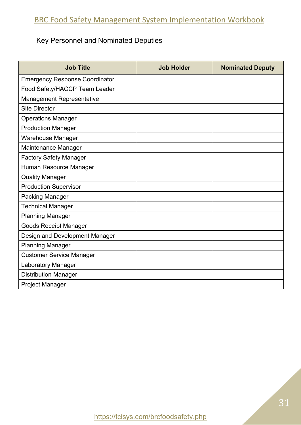## Key Personnel and Nominated Deputies

| <b>Job Title</b>                      | <b>Job Holder</b> | <b>Nominated Deputy</b> |
|---------------------------------------|-------------------|-------------------------|
| <b>Emergency Response Coordinator</b> |                   |                         |
| Food Safety/HACCP Team Leader         |                   |                         |
| Management Representative             |                   |                         |
| <b>Site Director</b>                  |                   |                         |
| <b>Operations Manager</b>             |                   |                         |
| <b>Production Manager</b>             |                   |                         |
| Warehouse Manager                     |                   |                         |
| Maintenance Manager                   |                   |                         |
| <b>Factory Safety Manager</b>         |                   |                         |
| Human Resource Manager                |                   |                         |
| <b>Quality Manager</b>                |                   |                         |
| <b>Production Supervisor</b>          |                   |                         |
| <b>Packing Manager</b>                |                   |                         |
| <b>Technical Manager</b>              |                   |                         |
| <b>Planning Manager</b>               |                   |                         |
| <b>Goods Receipt Manager</b>          |                   |                         |
| Design and Development Manager        |                   |                         |
| <b>Planning Manager</b>               |                   |                         |
| <b>Customer Service Manager</b>       |                   |                         |
| Laboratory Manager                    |                   |                         |
| <b>Distribution Manager</b>           |                   |                         |
| <b>Project Manager</b>                |                   |                         |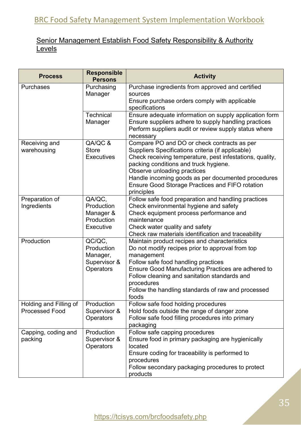## Senior Management Establish Food Safety Responsibility & Authority **Levels**

| <b>Process</b>         | <b>Responsible</b><br><b>Persons</b> | <b>Activity</b>                                                                                                |
|------------------------|--------------------------------------|----------------------------------------------------------------------------------------------------------------|
| <b>Purchases</b>       | Purchasing                           | Purchase ingredients from approved and certified                                                               |
|                        | Manager                              | sources                                                                                                        |
|                        |                                      | Ensure purchase orders comply with applicable                                                                  |
|                        |                                      | specifications                                                                                                 |
|                        | <b>Technical</b><br>Manager          | Ensure adequate information on supply application form<br>Ensure suppliers adhere to supply handling practices |
|                        |                                      | Perform suppliers audit or review supply status where                                                          |
|                        |                                      | necessary                                                                                                      |
| Receiving and          | QA/QC &                              | Compare PO and DO or check contracts as per                                                                    |
| warehousing            | <b>Store</b>                         | Suppliers Specifications criteria (if applicable)                                                              |
|                        | <b>Executives</b>                    | Check receiving temperature, pest infestations, quality,                                                       |
|                        |                                      | packing conditions and truck hygiene.                                                                          |
|                        |                                      | Observe unloading practices                                                                                    |
|                        |                                      | Handle incoming goods as per documented procedures                                                             |
|                        |                                      | <b>Ensure Good Storage Practices and FIFO rotation</b><br>principles                                           |
| Preparation of         | QA/QC.                               | Follow safe food preparation and handling practices                                                            |
| Ingredients            | Production                           | Check environmental hygiene and safety                                                                         |
|                        | Manager &                            | Check equipment process performance and                                                                        |
|                        | Production                           | maintenance                                                                                                    |
|                        | Executive                            | Check water quality and safety                                                                                 |
|                        |                                      | Check raw materials identification and traceability                                                            |
| Production             | QC/QC,                               | Maintain product recipes and characteristics                                                                   |
|                        | Production                           | Do not modify recipes prior to approval from top                                                               |
|                        | Manager,<br>Supervisor &             | management<br>Follow safe food handling practices                                                              |
|                        | <b>Operators</b>                     | Ensure Good Manufacturing Practices are adhered to                                                             |
|                        |                                      | Follow cleaning and sanitation standards and                                                                   |
|                        |                                      | procedures                                                                                                     |
|                        |                                      | Follow the handling standards of raw and processed                                                             |
|                        |                                      | foods                                                                                                          |
| Holding and Filling of | Production                           | Follow safe food holding procedures                                                                            |
| <b>Processed Food</b>  | Supervisor &                         | Hold foods outside the range of danger zone                                                                    |
|                        | <b>Operators</b>                     | Follow safe food filling procedures into primary                                                               |
| Capping, coding and    | Production                           | packaging<br>Follow safe capping procedures                                                                    |
| packing                | Supervisor &                         | Ensure food in primary packaging are hygienically                                                              |
|                        | <b>Operators</b>                     | located                                                                                                        |
|                        |                                      | Ensure coding for traceability is performed to                                                                 |
|                        |                                      | procedures                                                                                                     |
|                        |                                      | Follow secondary packaging procedures to protect                                                               |
|                        |                                      | products                                                                                                       |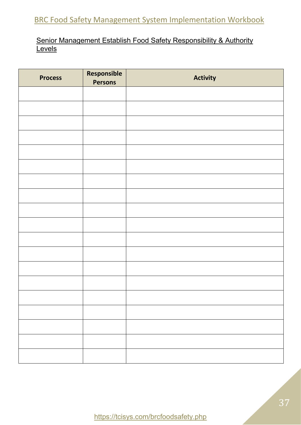## Senior Management Establish Food Safety Responsibility & Authority **Levels**

| <b>Process</b> | Responsible<br><b>Persons</b> | <b>Activity</b> |
|----------------|-------------------------------|-----------------|
|                |                               |                 |
|                |                               |                 |
|                |                               |                 |
|                |                               |                 |
|                |                               |                 |
|                |                               |                 |
|                |                               |                 |
|                |                               |                 |
|                |                               |                 |
|                |                               |                 |
|                |                               |                 |
|                |                               |                 |
|                |                               |                 |
|                |                               |                 |
|                |                               |                 |
|                |                               |                 |
|                |                               |                 |
|                |                               |                 |
|                |                               |                 |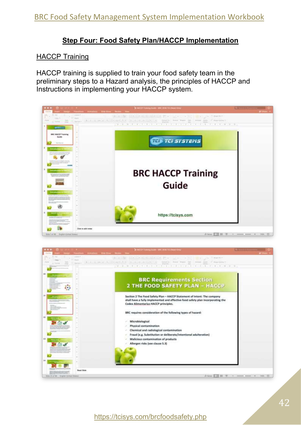### **Step Four: Food Safety Plan/HACCP Implementation**

#### HACCP Training

HACCP training is supplied to train your food safety team in the preliminary steps to a Hazard analysis, the principles of HACCP and Instructions in implementing your HACCP system.



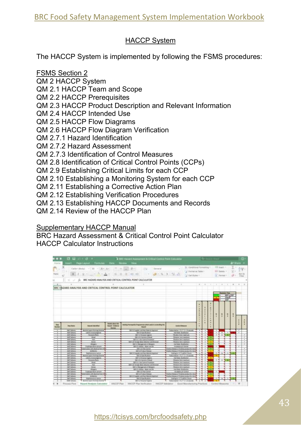## HACCP System

The HACCP System is implemented by following the FSMS procedures:

FSMS Section 2

QM 2 HACCP System

QM 2.1 HACCP Team and Scope

QM 2.2 HACCP Prerequisites

- QM 2.3 HACCP Product Description and Relevant Information
- QM 2.4 HACCP Intended Use
- QM 2.5 HACCP Flow Diagrams
- QM 2.6 HACCP Flow Diagram Verification
- QM 2.7.1 Hazard Identification
- QM 2.7.2 Hazard Assessment
- QM 2.7.3 Identification of Control Measures
- QM 2.8 Identification of Critical Control Points (CCPs)
- QM 2.9 Establishing Critical Limits for each CCP
- QM 2.10 Establishing a Monitoring System for each CCP
- QM 2.11 Establishing a Corrective Action Plan
- QM 2.12 Establishing Verification Procedures
- QM 2.13 Establishing HACCP Documents and Records
- QM 2.14 Review of the HACCP Plan

## **Supplementary HACCP Manual**

BRC Hazard Assessment & Critical Control Point Calculator HACCP Calculator Instructions

|                      |                          |                                                                                        |                                                                     | To not Hazard Assessment & Critical Control Polot Canadamy                          |                   |                                                                                                         |                | davi |   |                |                                                   |                                        |              |                                |                     |
|----------------------|--------------------------|----------------------------------------------------------------------------------------|---------------------------------------------------------------------|-------------------------------------------------------------------------------------|-------------------|---------------------------------------------------------------------------------------------------------|----------------|------|---|----------------|---------------------------------------------------|----------------------------------------|--------------|--------------------------------|---------------------|
| Hastus               |                          | fitsert Page Layston Flamschen Data Review View                                        |                                                                     |                                                                                     |                   |                                                                                                         |                |      |   |                |                                                   |                                        | At titure in |                                |                     |
| v.<br>Petro          |                          | Caller (Broke) - (100 - 11 (Art, Art) - 11 - 11 - 12 (100)<br>第二十二章 21:12:25 第2:25 第二章 |                                                                     | <b>ICSA</b><br>43.43                                                                | <b>Listen</b> 'sd | 3); Conditional Formations 1<br>of Fastner as Tallie 1-<br><b>DEATH &amp; DEATH</b><br>Cal Del Styles + |                |      |   |                | <b>ATT Start -</b><br>TWO Databa, V.<br>a l'emain |                                        | 省。<br>si c   | $\Sigma - \Delta \psi$<br>40.7 | $\frac{9458}{1000}$ |
| t£                   | 21 W.W.                  |                                                                                        |                                                                     | 5- BIC HAZARD ANALYSIS AND CRITICAL CONTROL POINT CALCULATOR                        |                   |                                                                                                         |                |      |   |                |                                                   |                                        |              |                                |                     |
|                      |                          | BRC HAZARD ANALYSIS AND CRITICAL CONTROL POINT CALCULATOR                              |                                                                     |                                                                                     |                   |                                                                                                         |                |      |   |                |                                                   |                                        |              |                                |                     |
|                      |                          |                                                                                        |                                                                     |                                                                                     |                   |                                                                                                         |                |      |   |                |                                                   |                                        |              |                                |                     |
|                      |                          |                                                                                        |                                                                     |                                                                                     |                   |                                                                                                         |                |      |   |                |                                                   | <b>SERVICE TIRE</b><br><b>Military</b> |              |                                |                     |
|                      |                          |                                                                                        |                                                                     |                                                                                     |                   |                                                                                                         |                |      |   | <b>TEMP</b>    |                                                   | <b>DANCE</b>                           |              |                                |                     |
|                      |                          |                                                                                        |                                                                     |                                                                                     |                   |                                                                                                         |                |      |   |                |                                                   |                                        |              |                                |                     |
| <b>Stag</b><br>homba | <b>New House</b>         | <b>TRANSIT EXAMPLES</b>                                                                | <b>Directo allows the</b><br><b>Nobel Echlesia</b><br><b>Burray</b> | Intellig Februari its Programmer which castel to conducting the<br><b>Financial</b> |                   | <b><i><u>Sank of Massure</u></i></b>                                                                    |                |      |   |                | $\mathbf{H}$                                      | W.                                     | ٠            |                                |                     |
|                      | AART Delivers            | Barbada Lupera Secretary, Bendrid                                                      |                                                                     | 2011 E.S. Eugener and have known at Approved                                        |                   | Transportation of ELTTE II IS advert-                                                                   | $\overline{a}$ | -    |   | $\overline{a}$ |                                                   |                                        |              |                                |                     |
| T                    | aut Juniers              | LAVIN CORRESPONDENCE                                                                   |                                                                     | (BA 1 E Sen Avenue)                                                                 |                   | <b>Ind Wally Buildings</b>                                                                              | T              |      |   |                | A.                                                |                                        |              | ÷                              |                     |
|                      | and followy              | <b>Thinnyd official</b>                                                                |                                                                     | <b>IBN 1.8 Ferriche Hypene</b>                                                      |                   | TRIANG ESA (GM/Suff                                                                                     |                |      |   |                | ×                                                 |                                        |              |                                |                     |
|                      | <b>And Salvary</b>       | <b>Rivel</b>                                                                           |                                                                     | (IM-A-B-1-Earcrives of Newall)                                                      |                   | <b>TRINGHI UKA Inaukupo</b>                                                                             |                |      |   |                |                                                   |                                        |              |                                |                     |
| 1.                   | <b>BOW Schools</b>       | Ski                                                                                    |                                                                     | <b>BM 1.3.1 Net Synthet President</b>                                               |                   | Thank kill leading?                                                                                     |                |      |   |                |                                                   |                                        |              |                                |                     |
|                      | <b>ALE SURVEY</b>        | $rac{1}{2}$                                                                            |                                                                     | 300 K.I.B Persian Berks Debaction and Rentweek                                      |                   | <b>Thresh key restrict</b>                                                                              |                |      |   |                |                                                   |                                        |              |                                |                     |
|                      | and faduals              |                                                                                        |                                                                     | IBA 1.1 Management of Efferaire                                                     |                   | <b>TRA NUME BUARNERS</b>                                                                                |                |      |   |                |                                                   |                                        |              |                                |                     |
|                      | <b>AND Deliver's</b>     | <b>Crystope Mar Atrust</b>                                                             |                                                                     | OM 4.1 JAROBE, WWW. and AR                                                          |                   | Insulation art Element                                                                                  |                |      |   | Ŧ              |                                                   |                                        |              | ×                              |                     |
|                      | <b>AVE Subset</b>        | Complete leaders Bay and the Record Ford                                               |                                                                     | JA 4.11 Feb East at                                                                 |                   | dive leases of foreholdshed for re                                                                      |                |      |   |                |                                                   |                                        |              |                                |                     |
|                      | and Johnny               | And Boot Inc.                                                                          |                                                                     | <b>God 1.4 Freebury America</b>                                                     |                   | calling Haragea of Thialined payment Byt. Inc.                                                          |                |      |   |                |                                                   |                                        |              |                                |                     |
|                      | and ladings              | <b>RAIFAMING WITH</b>                                                                  |                                                                     | <b>GM 31 Huasfiel and Star Menute Assember</b>                                      |                   | Einding to 1.5 TL aertist 2 locals                                                                      |                |      |   | $\overline{a}$ | $\overline{a}$                                    | $\sim$                                 |              |                                |                     |
|                      | <b>IMFORMER</b>          | <b>Reikers Eggend Reitring: Stessi</b>                                                 |                                                                     | (Sell 5 & Lake McAllong                                                             |                   | Roderington ATLT 12 x 10 second                                                                         |                |      |   |                |                                                   |                                        |              |                                |                     |
|                      | <b>MT Sylvan</b>         | Lease most manage                                                                      |                                                                     | <b>UH / J Freeze Sales</b>                                                          |                   | TEA WWW. Dunkleton                                                                                      |                |      | т |                |                                                   |                                        |              |                                |                     |
|                      | <b>Milked</b>            | <b>Terrand offeria</b>                                                                 |                                                                     | TWO FILE DAMAGE POWER                                                               |                   | Their this temper.                                                                                      |                |      |   |                | $\overline{1}$                                    |                                        |              |                                |                     |
|                      | <b>UMF Dollrars</b>      | <b>Book</b>                                                                            |                                                                     | <b>MISS COMPANY</b>                                                                 |                   | <b>Thread Unit Institut</b>                                                                             |                |      |   |                |                                                   |                                        |              |                                |                     |
|                      | IMT ARISEL               | 36                                                                                     |                                                                     | AR A US For Light Body Deductions and Ramons                                        |                   | ling or level massage.                                                                                  |                |      |   |                |                                                   |                                        |              |                                |                     |
|                      | ML2030                   | <b>Just</b>                                                                            |                                                                     | ONE L'Hongscheel Morgen                                                             |                   | <b>Biggs And Auditors</b>                                                                               |                |      |   |                |                                                   |                                        |              |                                |                     |
|                      | <b>IMT Julyana</b>       | <b>STERES</b>                                                                          |                                                                     | 194.4.5 contras., Water and Att.                                                    |                   | <b>IN YOU EUROPE</b>                                                                                    |                |      |   |                |                                                   |                                        |              |                                |                     |
|                      | <b>IMF</b> Judges        | <b><i>CONSULTABLE AROUND</i></b>                                                       |                                                                     | <b>DATE NATION</b>                                                                  |                   | <b>IN ANNUAL SURSE</b>                                                                                  |                |      |   |                |                                                   |                                        |              |                                |                     |
|                      | <b>Joer James</b>        | Microsoft and Jacobia Earl O                                                           |                                                                     | <b>BRESTA Product Astronomy</b>                                                     |                   | your misses of forenecatives the re-                                                                    |                |      |   |                |                                                   |                                        |              |                                |                     |
|                      | MT. July 8/1             | Attractor.                                                                             |                                                                     | are L.E. Lugarter, and Hanc Manufall Agentual.                                      |                   | Lifton Romany, of Foreigns attacked for the                                                             |                |      |   |                |                                                   |                                        |              |                                |                     |
|                      | <b>WITHOUT</b>           | <b>TATANIUS MERA</b>                                                                   |                                                                     | <b>JRILLIAN/RANGEL</b>                                                              |                   | <b>Sadiate LE S attra dissol</b>                                                                        |                |      |   |                |                                                   |                                        |              |                                |                     |
|                      | WM <sup>2</sup> Delivera | Bachkritz Exports fill ching) Survival                                                 |                                                                     | TAN 1.2 Ferralment chapters).                                                       |                   | Telephone 17,7" E.1 (2) seconds                                                                         |                |      |   |                |                                                   |                                        |              |                                |                     |
|                      |                          |                                                                                        |                                                                     |                                                                                     |                   |                                                                                                         |                |      |   |                |                                                   |                                        |              |                                |                     |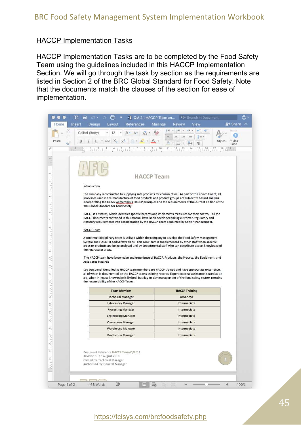#### HACCP Implementation Tasks

HACCP Implementation Tasks are to be completed by the Food Safety Team using the guidelines included in this HACCP Implementation Section. We will go through the task by section as the requirements are listed in Section 2 of the BRC Global Standard for Food Safety. Note that the documents match the clauses of the section for ease of implementation.



## https://tcisys.com/brcfoodsafety.php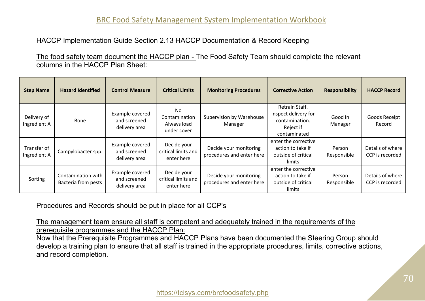#### HACCP Implementation Guide Section 2.13 HACCP Documentation & Record Keeping

The food safety team document the HACCP plan - The Food Safety Team should complete the relevant columns in the HACCP Plan Sheet:

| <b>Step Name</b>            | <b>Hazard Identified</b>                         | <b>Control Measure</b>                           | <b>Critical Limits</b>                            | <b>Monitoring Procedures</b>                        | <b>Corrective Action</b>                                                              | <b>Responsibility</b> | <b>HACCP Record</b>                 |
|-----------------------------|--------------------------------------------------|--------------------------------------------------|---------------------------------------------------|-----------------------------------------------------|---------------------------------------------------------------------------------------|-----------------------|-------------------------------------|
| Delivery of<br>Ingredient A | Bone                                             | Example covered<br>and screened<br>delivery area | No<br>Contamination<br>Always load<br>under cover | Supervision by Warehouse<br>Manager                 | Retrain Staff.<br>Inspect delivery for<br>contamination.<br>Reject if<br>contaminated | Good In<br>Manager    | Goods Receipt<br>Record             |
| Transfer of<br>Ingredient A | Campylobacter spp.                               | Example covered<br>and screened<br>delivery area | Decide your<br>critical limits and<br>enter here  | Decide your monitoring<br>procedures and enter here | enter the corrective<br>action to take if<br>outside of critical<br>limits            | Person<br>Responsible | Details of where<br>CCP is recorded |
| Sorting                     | Contamination with<br><b>Bacteria from pests</b> | Example covered<br>and screened<br>delivery area | Decide your<br>critical limits and<br>enter here  | Decide your monitoring<br>procedures and enter here | enter the corrective<br>action to take if<br>outside of critical<br>limits            | Person<br>Responsible | Details of where<br>CCP is recorded |

Procedures and Records should be put in place for all CCP's

The management team ensure all staff is competent and adequately trained in the requirements of the prerequisite programmes and the HACCP Plan:

Now that the Prerequisite Programmes and HACCP Plans have been documented the Steering Group should develop a training plan to ensure that all staff is trained in the appropriate procedures, limits, corrective actions, and record completion.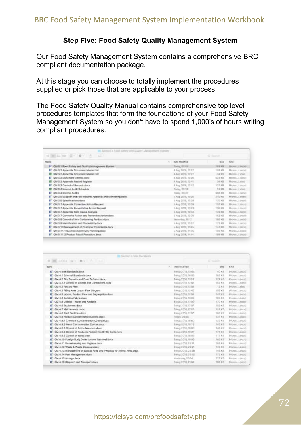#### **Step Five: Food Safety Quality Management System**

Our Food Safety Management System contains a comprehensive BRC compliant documentation package.

At this stage you can choose to totally implement the procedures supplied or pick those that are applicable to your process.

The Food Safety Quality Manual contains comprehensive top level procedures templates that form the foundations of your Food Safety Management System so you don't have to spend 1,000's of hours writing compliant procedures:

| To Bertlen 3 Food Safety and Quality Management System<br>$\mathbb{H} \equiv \mathbb{H} \equiv \mathbb{H} \quad \mathbb{H} \leftarrow \mathbf{0} \leftarrow \mathbf{0}$<br>$\equiv$ |                         | C Bergh         |                    |
|-------------------------------------------------------------------------------------------------------------------------------------------------------------------------------------|-------------------------|-----------------|--------------------|
| Name                                                                                                                                                                                | Date Modified<br>$\sim$ | 528             | Kind               |
| B GM 3.1 Food Balery and Quality Management System.                                                                                                                                 | Today, 90.04            | 193.43          | Micros / Apple)    |
| QM 3.2 Appendix Document Master List<br>æ                                                                                                                                           | 4 Aug 2018, 12:27       | <b>SILE KIR</b> | Micros., Liberal   |
| OM 3.2 Appendix Document Master List                                                                                                                                                | 4 Aug 2018, 12:27       | 34.83           | Micros., Lidesh    |
| <b>CM 3.2 Document Central dock</b><br>æ                                                                                                                                            | 4 Aug 2018, 12:26       | 523.68          | Mures, Lance       |
| QM 3.3 Appendix Record Register                                                                                                                                                     | 4 Aug 2019, 12:41       | 35.6%           | Micros, J. Attol   |
| GM 3.3 Control of Records.docx<br>œ                                                                                                                                                 | 4 Aug 2018, 12:42       | 127 KB          | Michel  Cabocal    |
| CM 3.4 Internal Audit Schedule                                                                                                                                                      | Today, 02:29            | 24.88           | Micron, Lichard    |
| GM 3.4 Internal Audits<br>т                                                                                                                                                         | Today, 00:37            | 988.438         | Micros Libreal     |
| QM 3.5 Supplier and Raw Material Approval and Monitoring docs:                                                                                                                      | 5 Aug 2018, 10:20       | 310 KB          | Micros., I docut   |
| GM 3.5 Specifications.docs:<br>s:                                                                                                                                                   | 5 Aug 2018, 10:38       | TJTD KIE        | Micros., J. Apral. |
| QM 3.7 Appendix Conective Action Request<br>ε                                                                                                                                       | 5 Aug 2018, 13:33       | 10030           | Micron., I does)   |
| QM 3.7 Appendix Preventative Accion Request<br>ε                                                                                                                                    | 5-Aug 2018, 13-AU       | 105.KII         | Merre Libral       |
| QM 3.7 Appendix Root Cause Analysis<br>п                                                                                                                                            | 5 Aug 2016, 12:08.      | 129 KS          | Micros., Ldocat    |
| QM 3.7 Corrective Action and Preventlye Action.gocx<br>œ.                                                                                                                           | 5 Aug 2018, 12:09       | 162 KB          | Micron, J. docic)  |
| QM 3.8 Control of Non Conforming Product docs<br>٠                                                                                                                                  | Yasherday, 19, 12       | 100 KB          | Monte, Libriel     |
| QM 3.9 identification and Traceability.docx<br>÷                                                                                                                                    | 5 Aug 2018, 13:57       | 173.838         | Micros., Libocat   |
| QM 3.10 Management of Customer Complaints.dock<br>æ                                                                                                                                 | 5 Aug 2018, 1345        | <b>THE R.R.</b> | Micros, J. docal   |
| QM 3.11.1 Business Continuity Planning docs<br>œ                                                                                                                                    | 5 Aug 2018, 14:05       | 199.89          | Micros. (doca)     |
| CM 3.11.2 Product Recall Procedure docs                                                                                                                                             | 5 Aug 2018, 14:54       | 165.435         | Mores, (doce)      |

|                                                                      | EX Rection 4 Sits Standards |                    |              |                    |
|----------------------------------------------------------------------|-----------------------------|--------------------|--------------|--------------------|
|                                                                      |                             |                    | ZI SAMIN     |                    |
| Nams                                                                 | w                           | Date Modified      | Size:        | <b>Wind</b>        |
| CM 4 Ste Standards docx                                              |                             | 6 Aug 2018, 13:08  | <b>AD KB</b> | Memi  Liboon       |
| OM 4.1 External Standards dock<br>е                                  |                             | 6 Aug 2018, 10:53  | 103,68       | Mitros., Lidokid   |
| QM 4.2 Site Security and Food Defence docs.<br>e:                    |                             | 6 Aug 2018, 11:58  | TTA KH       | Within J. Books    |
| QM 4.2.1 Control of Visitors and Contractors docal<br>a:             |                             | 8 Aug 2018, 12:05  | TRY KB       | Mains, Leona       |
| <b>OM 4.3 Factory Plan</b><br>α                                      |                             | 6 Aug 2018, 12:51  | 12.01        | Micros. Lahiso     |
| QM 4.3 Filling Area Layout Flow Diagram<br>o.                        |                             | 6 Aug 2018, 12:42  | 158301       | Marros Lidock3     |
| QM 4.3 Laynut, Product Flow and Segregation.docx<br>۰                |                             | E.Aug.2018, 12:52  | 3.87.88      | Winnie, Lidocal    |
| QM-4.4 Bullding Fabric docs<br>۰                                     |                             | 6 Aug 2018, 13:29  | 土台氏元目        | Mirim  (door)      |
| OM 4.5 Utilities - Water and Air Boox                                |                             | 6 Aug 2016, 17:09  | 170 KB       | Micros. Libocal    |
| QM 4.6 Equipment.docx                                                |                             | 8 Aug 2018, 17:07  | $+60.08$     | Wittm, Local       |
| OM 4.7 Maintenance docs<br>Ξ                                         |                             | 8 Aug 2016, 17:23  | 124 KB       | MENIN  (1800X)     |
| OM 4.8 Staff Facilities dock                                         |                             | 0 Aug 2018, 17:57  | 180 KB       | Mons (.docs)       |
| OM 4.9 Product Contamination Control docs                            |                             | Today, 00:38       | 333 KB       | Mirmini, J. Bookl. |
| QM-4.9.1 Chemical Contamination Control docx                         |                             | fi Aug 2018, 18:00 | T26 KH       | Wicros. Lidocal    |
| QM 4.9.2 Metal Contamination Control dock<br>е                       |                             | 8 Aug 2018, 18-16  | 143.08       | Mirros. Liberat    |
| OM 4.9.3 Control of Brittie Materials docu<br>Ξ                      |                             | 6 Aug 2018, 19:00  | 生産株式師        | MICHIEL (BOOK)     |
| QM 4.9.4 Control of Products Packed into Brittle Containers<br>Ξ     |                             | 6 Aug 2015, 19:37  | すぎる実性        | MILITARI  (JODGA)  |
| OM 4.8.5 Control of Wood docx<br>٠                                   |                             | E Aug 2018, 18:55. | 117 KB       | Wirms Liboosl      |
| QM 4.10 Foreign Body Detection and Removal docx<br>⋴                 |                             | 6 Aug 2018, 19:00  | 103 KB       | Wirms, Libbert     |
| QM 4.11 Housekeeping and Hygiene docs.<br>٠                          |                             | 6 Aug 2018, 2014   | 186,48       | Werisis (Japan)    |
| QM 4.12 Waste & Waste Disposal.docx.<br>Ξ                            |                             | 0 Aug 2018, 20:21  | 143.69       | MICROS LODGE       |
| QM 4.13 Management of Burplus Food and Products for Animal Feed docs |                             | 6 Aug 2018, 20:25  | 148 幻日       | Mamas, Libboni     |
| QM 4.14 Pest Management.docx<br>Ξ                                    |                             | 6 Aug 2018, 20:52  | 122.68       | Micros., Libeck)   |
| QM 4.15 Storage docx                                                 |                             | Yesterday, 20124   | 170 KB       | Witning  (1860X)   |
| QM 4.16 Dispatch and Transport docx<br>ε                             |                             | 8 Aug 2018, 21:04  | 180-68       | Murrak Liboaxi     |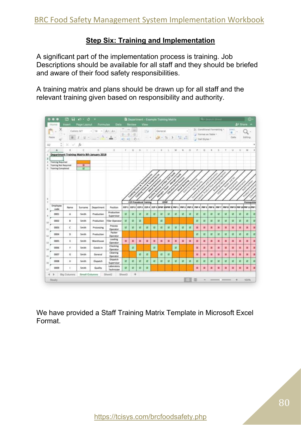#### **Step Six: Training and Implementation**

A significant part of the implementation process is training. Job Descriptions should be available for all staff and they should be briefed and aware of their food safety responsibilities.

A training matrix and plans should be drawn up for all staff and the relevant training given based on responsibility and authority.



We have provided a Staff Training Matrix Template in Microsoft Excel Format.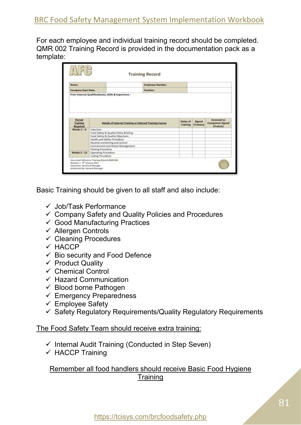For each employee and individual training record should be completed. QMR 002 Training Record is provided in the documentation pack as a template:

| Name:                     |                                                                                                                                                                                                                         | <b>Employee Number:</b>                                  |                             |                     |                                                     |
|---------------------------|-------------------------------------------------------------------------------------------------------------------------------------------------------------------------------------------------------------------------|----------------------------------------------------------|-----------------------------|---------------------|-----------------------------------------------------|
| Company Start Date:       |                                                                                                                                                                                                                         | Position:                                                |                             |                     |                                                     |
| Period<br>Training        |                                                                                                                                                                                                                         | Details of Internal Training or External Training Course | Dates of<br><b>Training</b> | Signed<br>(Traimee) | Assessed as<br><b>Competent Signed</b><br>[Trainer] |
|                           |                                                                                                                                                                                                                         |                                                          |                             |                     |                                                     |
| Required<br>Weeks $1 - 4$ | Induction<br>Food Safety & Quality Policy Briefing<br>Food Safety & Quality Objectives<br>Health and Safety Procedure<br>Records monitoring and control<br>Environment and Waste Management<br><b>Packing Procedure</b> |                                                          |                             |                     |                                                     |

Basic Training should be given to all staff and also include:

- ✓ Job/Task Performance
- $\checkmark$  Company Safety and Quality Policies and Procedures
- $\checkmark$  Good Manufacturing Practices
- ✓ Allergen Controls
- $\checkmark$  Cleaning Procedures
- $V$  HACCP
- $\checkmark$  Bio security and Food Defence
- $\checkmark$  Product Quality
- $\checkmark$  Chemical Control
- $\checkmark$  Hazard Communication
- $\checkmark$  Blood borne Pathogen
- $\checkmark$  Emergency Preparedness
- $\checkmark$  Employee Safety
- $\checkmark$  Safety Regulatory Reguirements/Quality Regulatory Reguirements

#### The Food Safety Team should receive extra training:

- $\checkmark$  Internal Audit Training (Conducted in Step Seven)
- ✓ HACCP Training

## Remember all food handlers should receive Basic Food Hygiene **Training**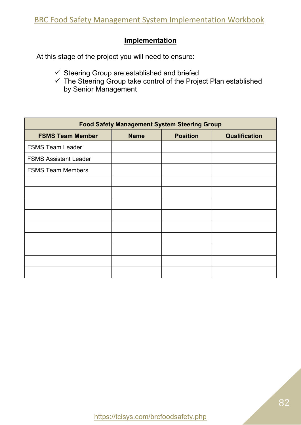## **Implementation**

At this stage of the project you will need to ensure:

- ✓ Steering Group are established and briefed
- ✓ The Steering Group take control of the Project Plan established by Senior Management

| <b>Food Safety Management System Steering Group</b> |             |                 |                      |  |  |  |  |  |
|-----------------------------------------------------|-------------|-----------------|----------------------|--|--|--|--|--|
| <b>FSMS Team Member</b>                             | <b>Name</b> | <b>Position</b> | <b>Qualification</b> |  |  |  |  |  |
| <b>FSMS Team Leader</b>                             |             |                 |                      |  |  |  |  |  |
| <b>FSMS Assistant Leader</b>                        |             |                 |                      |  |  |  |  |  |
| <b>FSMS Team Members</b>                            |             |                 |                      |  |  |  |  |  |
|                                                     |             |                 |                      |  |  |  |  |  |
|                                                     |             |                 |                      |  |  |  |  |  |
|                                                     |             |                 |                      |  |  |  |  |  |
|                                                     |             |                 |                      |  |  |  |  |  |
|                                                     |             |                 |                      |  |  |  |  |  |
|                                                     |             |                 |                      |  |  |  |  |  |
|                                                     |             |                 |                      |  |  |  |  |  |
|                                                     |             |                 |                      |  |  |  |  |  |
|                                                     |             |                 |                      |  |  |  |  |  |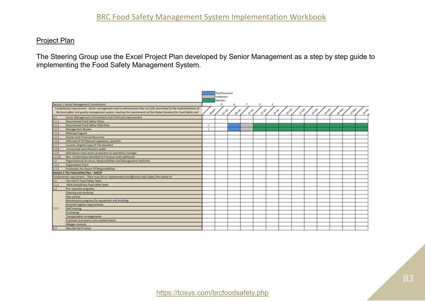#### Project Plan

The Steering Group use the Excel Project Plan developed by Senior Management as a step by step guide to implementing the Food Safety Management System.

|                                                                                                                    | Plan/Document                                                                                                                                    |  |
|--------------------------------------------------------------------------------------------------------------------|--------------------------------------------------------------------------------------------------------------------------------------------------|--|
|                                                                                                                    | Implement<br>Maintain                                                                                                                            |  |
| Section 1 Servor Management Commitment                                                                             | n                                                                                                                                                |  |
| Fundamental requirement - Senior management need to demonstrate they are fully committed to the implementation of  | i P                                                                                                                                              |  |
| the food safety and quality management system, meeting the requirements of the Global Standard for Food Safety and | <b>July</b><br>Wednes<br><b>PARK</b><br><b>Zero</b><br><b>Britte</b><br><b>STAR</b><br>Olippe<br><b>Driver</b><br>O <sup>NAW</sup><br>19195<br>Ň |  |
| Senior Management Commitment And Continual Improvement<br>1.1                                                      |                                                                                                                                                  |  |
| Documented Food Safety Policy<br>1.1.1                                                                             |                                                                                                                                                  |  |
| Documented Food Safety Objectives<br>112                                                                           |                                                                                                                                                  |  |
| Management Review<br>1.1.3                                                                                         |                                                                                                                                                  |  |
| 114<br>Meeting Program                                                                                             |                                                                                                                                                  |  |
| Human And Financial Resources<br>1.1.5                                                                             |                                                                                                                                                  |  |
| Informed Of All Relevant Legislative, Scientific<br>1.1.6                                                          |                                                                                                                                                  |  |
| Current, Original Copy Of The Standard<br>1.1.7                                                                    |                                                                                                                                                  |  |
| Announced recertification audits<br>1.1.8                                                                          |                                                                                                                                                  |  |
| Attendance most senior production or operations manager<br>1.1.9                                                   |                                                                                                                                                  |  |
| Non- Conformities Identified At Previous Audit addressed.<br>1.1.10                                                |                                                                                                                                                  |  |
| <b>Organisational Structure, Responsibilities And Management Authority</b><br>1.2                                  |                                                                                                                                                  |  |
| <b>Organization Chart</b><br>1.2.1                                                                                 |                                                                                                                                                  |  |
| <b>Employees Are Aware Of Responsibilities</b><br>1.2.2                                                            |                                                                                                                                                  |  |
| Section 2 The Food Safety Plan - HACCP                                                                             |                                                                                                                                                  |  |
| Fundamental requirement - There must be an implemented and effective Faod Safety Plan based on                     |                                                                                                                                                  |  |
| The HACCP Food Safety Team<br>2.1                                                                                  |                                                                                                                                                  |  |
| Multi-disciplinary food safety team<br>2.1.1                                                                       |                                                                                                                                                  |  |
| 2.2<br>Pre-requisite programs                                                                                      |                                                                                                                                                  |  |
| <b>Cleaning and sanitising</b>                                                                                     |                                                                                                                                                  |  |
| Pest control                                                                                                       |                                                                                                                                                  |  |
| Maintenance programs for equipment and buildings.                                                                  |                                                                                                                                                  |  |
| Personal hygiene requirements                                                                                      |                                                                                                                                                  |  |
| 22.1<br><b>Staff training</b>                                                                                      |                                                                                                                                                  |  |
| Purchasing                                                                                                         |                                                                                                                                                  |  |
| Transportation arrangements                                                                                        |                                                                                                                                                  |  |
| Processes to prevent cross contamination                                                                           |                                                                                                                                                  |  |
| Allergen controls.                                                                                                 |                                                                                                                                                  |  |
| Describe the Product<br>2.3                                                                                        |                                                                                                                                                  |  |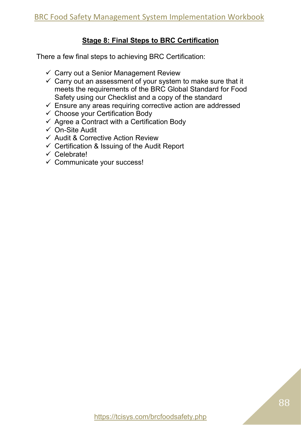## **Stage 8: Final Steps to BRC Certification**

There a few final steps to achieving BRC Certification:

- $\checkmark$  Carry out a Senior Management Review
- $\checkmark$  Carry out an assessment of your system to make sure that it meets the requirements of the BRC Global Standard for Food Safety using our Checklist and a copy of the standard
- $\checkmark$  Ensure any areas requiring corrective action are addressed
- $\checkmark$  Choose your Certification Body
- $\checkmark$  Agree a Contract with a Certification Body
- ✓ On-Site Audit
- ✓ Audit & Corrective Action Review
- $\checkmark$  Certification & Issuing of the Audit Report
- ✓ Celebrate!
- $\checkmark$  Communicate your success!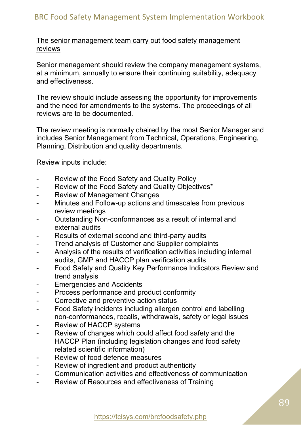The senior management team carry out food safety management reviews

Senior management should review the company management systems, at a minimum, annually to ensure their continuing suitability, adequacy and effectiveness.

The review should include assessing the opportunity for improvements and the need for amendments to the systems. The proceedings of all reviews are to be documented.

The review meeting is normally chaired by the most Senior Manager and includes Senior Management from Technical, Operations, Engineering, Planning, Distribution and quality departments.

Review inputs include:

- Review of the Food Safety and Quality Policy
- Review of the Food Safety and Quality Objectives\*
- Review of Management Changes
- Minutes and Follow-up actions and timescales from previous review meetings
- Outstanding Non-conformances as a result of internal and external audits
- Results of external second and third-party audits
- Trend analysis of Customer and Supplier complaints
- Analysis of the results of verification activities including internal audits, GMP and HACCP plan verification audits
- Food Safety and Quality Key Performance Indicators Review and trend analysis
- Emergencies and Accidents
- Process performance and product conformity
- Corrective and preventive action status
- Food Safety incidents including allergen control and labelling non-conformances, recalls, withdrawals, safety or legal issues
- Review of HACCP systems
- Review of changes which could affect food safety and the HACCP Plan (including legislation changes and food safety related scientific information)
- Review of food defence measures
- Review of ingredient and product authenticity
- Communication activities and effectiveness of communication
- Review of Resources and effectiveness of Training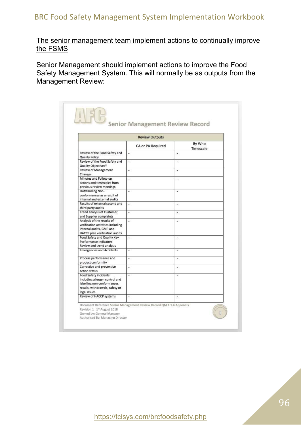The senior management team implement actions to continually improve the FSMS

Senior Management should implement actions to improve the Food Safety Management System. This will normally be as outputs from the Management Review:

| <b>Review Outputs</b>                                                                                                                            |                   |                      |  |  |  |
|--------------------------------------------------------------------------------------------------------------------------------------------------|-------------------|----------------------|--|--|--|
|                                                                                                                                                  | CA or PA Required | By Who<br>Timescale  |  |  |  |
| Review of the Food Safety and<br><b>Quality Policy</b>                                                                                           | ٠                 | ä,                   |  |  |  |
| Review of the Food Safety and<br>Quality Objectives*                                                                                             | ×                 | ä,                   |  |  |  |
| Review of Management<br>Changes                                                                                                                  | ×.                | u.                   |  |  |  |
| Minutes and Follow-up<br>actions and timescales from<br>previous review meetings                                                                 | ۰                 | ۰                    |  |  |  |
| <b>Outstanding Non-</b><br>conformances as a result of<br>internal and external audits                                                           | ۷                 | a)                   |  |  |  |
| Results of external second and<br>third party audits                                                                                             | ٠                 | $\overline{a}$       |  |  |  |
| <b>Trend analysis of Customer</b><br>and Supplier complaints                                                                                     | ä,                | $\ddot{\phantom{1}}$ |  |  |  |
| Analysis of the results of<br>verification activities including<br>internal audits, GMP and<br>HACCP plan verification audits                    | Ξ                 | ×                    |  |  |  |
| Food Safety and Quality Key<br>Performance Indicators<br>Review and trend analysis                                                               | ۰                 |                      |  |  |  |
| <b>Emergencies and Accidents</b>                                                                                                                 | Ξ                 | a,                   |  |  |  |
| Process performance and<br>product conformity                                                                                                    | ٠                 | ×.                   |  |  |  |
| Corrective and preventive<br>action status                                                                                                       | ۷                 | ÷.                   |  |  |  |
| <b>Food Safety incidents</b><br>including allergen control and<br>labelling non-conformances,<br>recalls, withdrawals, safety or<br>legal issues | Ξ                 | a,                   |  |  |  |
| Review of HACCP systems                                                                                                                          | ü                 | $\ddot{\phantom{1}}$ |  |  |  |